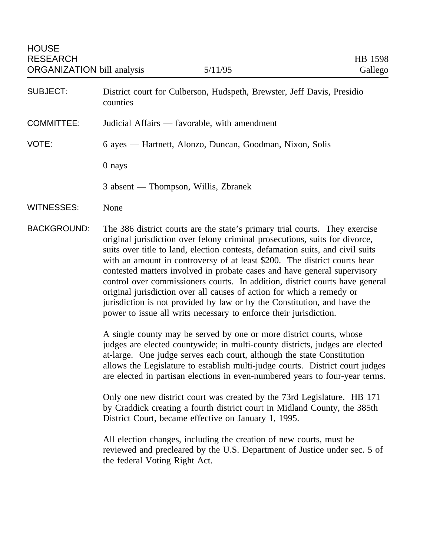- SUBJECT: District court for Culberson, Hudspeth, Brewster, Jeff Davis, Presidio counties
- COMMITTEE: Judicial Affairs favorable, with amendment
- VOTE: 6 ayes Hartnett, Alonzo, Duncan, Goodman, Nixon, Solis
	- 0 nays
	- 3 absent Thompson, Willis, Zbranek

WITNESSES: None

BACKGROUND: The 386 district courts are the state's primary trial courts. They exercise original jurisdiction over felony criminal prosecutions, suits for divorce, suits over title to land, election contests, defamation suits, and civil suits with an amount in controversy of at least \$200. The district courts hear contested matters involved in probate cases and have general supervisory control over commissioners courts. In addition, district courts have general original jurisdiction over all causes of action for which a remedy or jurisdiction is not provided by law or by the Constitution, and have the power to issue all writs necessary to enforce their jurisdiction.

> A single county may be served by one or more district courts, whose judges are elected countywide; in multi-county districts, judges are elected at-large. One judge serves each court, although the state Constitution allows the Legislature to establish multi-judge courts. District court judges are elected in partisan elections in even-numbered years to four-year terms.

Only one new district court was created by the 73rd Legislature. HB 171 by Craddick creating a fourth district court in Midland County, the 385th District Court, became effective on January 1, 1995.

All election changes, including the creation of new courts, must be reviewed and precleared by the U.S. Department of Justice under sec. 5 of the federal Voting Right Act.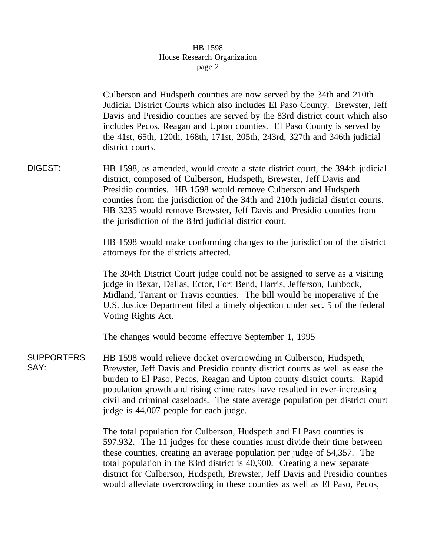## HB 1598 House Research Organization page 2

Culberson and Hudspeth counties are now served by the 34th and 210th Judicial District Courts which also includes El Paso County. Brewster, Jeff Davis and Presidio counties are served by the 83rd district court which also includes Pecos, Reagan and Upton counties. El Paso County is served by the 41st, 65th, 120th, 168th, 171st, 205th, 243rd, 327th and 346th judicial district courts.

DIGEST: HB 1598, as amended, would create a state district court, the 394th judicial district, composed of Culberson, Hudspeth, Brewster, Jeff Davis and Presidio counties. HB 1598 would remove Culberson and Hudspeth counties from the jurisdiction of the 34th and 210th judicial district courts. HB 3235 would remove Brewster, Jeff Davis and Presidio counties from the jurisdiction of the 83rd judicial district court.

> HB 1598 would make conforming changes to the jurisdiction of the district attorneys for the districts affected.

> The 394th District Court judge could not be assigned to serve as a visiting judge in Bexar, Dallas, Ector, Fort Bend, Harris, Jefferson, Lubbock, Midland, Tarrant or Travis counties. The bill would be inoperative if the U.S. Justice Department filed a timely objection under sec. 5 of the federal Voting Rights Act.

The changes would become effective September 1, 1995

SUPPORTERS SAY: HB 1598 would relieve docket overcrowding in Culberson, Hudspeth, Brewster, Jeff Davis and Presidio county district courts as well as ease the burden to El Paso, Pecos, Reagan and Upton county district courts. Rapid population growth and rising crime rates have resulted in ever-increasing civil and criminal caseloads. The state average population per district court judge is 44,007 people for each judge.

> The total population for Culberson, Hudspeth and El Paso counties is 597,932. The 11 judges for these counties must divide their time between these counties, creating an average population per judge of 54,357. The total population in the 83rd district is 40,900. Creating a new separate district for Culberson, Hudspeth, Brewster, Jeff Davis and Presidio counties would alleviate overcrowding in these counties as well as El Paso, Pecos,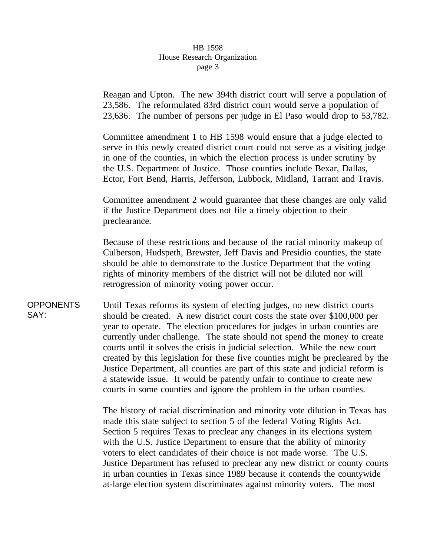## HB 1598 House Research Organization page 3

Reagan and Upton. The new 394th district court will serve a population of 23,586. The reformulated 83rd district court would serve a population of 23,636. The number of persons per judge in El Paso would drop to 53,782.

Committee amendment 1 to HB 1598 would ensure that a judge elected to serve in this newly created district court could not serve as a visiting judge in one of the counties, in which the election process is under scrutiny by the U.S. Department of Justice. Those counties include Bexar, Dallas, Ector, Fort Bend, Harris, Jefferson, Lubbock, Midland, Tarrant and Travis.

Committee amendment 2 would guarantee that these changes are only valid if the Justice Department does not file a timely objection to their preclearance.

Because of these restrictions and because of the racial minority makeup of Culberson, Hudspeth, Brewster, Jeff Davis and Presidio counties, the state should be able to demonstrate to the Justice Department that the voting rights of minority members of the district will not be diluted nor will retrogression of minority voting power occur.

**OPPONENTS** SAY: Until Texas reforms its system of electing judges, no new district courts should be created. A new district court costs the state over \$100,000 per year to operate. The election procedures for judges in urban counties are currently under challenge. The state should not spend the money to create courts until it solves the crisis in judicial selection. While the new court created by this legislation for these five counties might be precleared by the Justice Department, all counties are part of this state and judicial reform is a statewide issue. It would be patently unfair to continue to create new courts in some counties and ignore the problem in the urban counties.

> The history of racial discrimination and minority vote dilution in Texas has made this state subject to section 5 of the federal Voting Rights Act. Section 5 requires Texas to preclear any changes in its elections system with the U.S. Justice Department to ensure that the ability of minority voters to elect candidates of their choice is not made worse. The U.S. Justice Department has refused to preclear any new district or county courts in urban counties in Texas since 1989 because it contends the countywide at-large election system discriminates against minority voters. The most